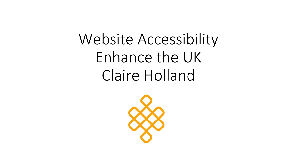# Website Accessibility Enhance the UK Claire Holland

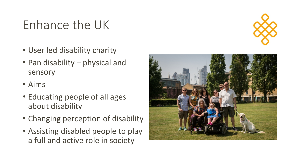### Enhance the UK



- User led disability charity
- Pan disability physical and sensory
- Aims
- Educating people of all ages about disability
- Changing perception of disability
- Assisting disabled people to play a full and active role in society

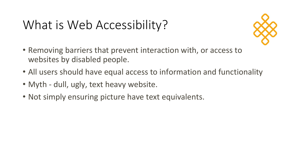### What is Web Accessibility?



- Removing barriers that prevent interaction with, or access to websites by disabled people.
- All users should have equal access to information and functionality
- Myth dull, ugly, text heavy website.
- Not simply ensuring picture have text equivalents.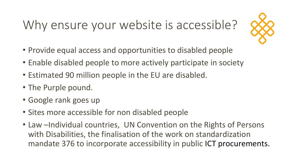# Why ensure your website is accessible?



- Provide equal access and opportunities to disabled people
- Enable disabled people to more actively participate in society
- Estimated 90 million people in the EU are disabled.
- The Purple pound.
- Google rank goes up
- Sites more accessible for non disabled people
- Law -Individual countries, UN Convention on the Rights of Persons with Disabilities, the finalisation of the work on standardization mandate 376 to incorporate accessibility in public ICT procurements.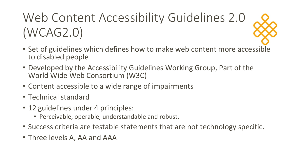# Web Content Accessibility Guidelines 2.0 (WCAG2.0)

- Set of guidelines which defines how to make web content more accessible to disabled people
- Developed by the Accessibility Guidelines Working Group, Part of the World Wide Web Consortium (W3C)
- Content accessible to a wide range of impairments
- Technical standard
- 12 guidelines under 4 principles:
	- Perceivable, operable, understandable and robust.
- Success criteria are testable statements that are not technology specific.
- Three levels A, AA and AAA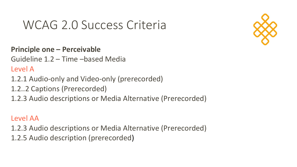### WCAG 2.0 Success Criteria



**Principle one – Perceivable**

Guideline 1.2 – Time –based Media

Level A

- 1.2.1 Audio-only and Video-only (prerecorded)
- 1.2..2 Captions (Prerecorded)
- 1.2.3 Audio descriptions or Media Alternative (Prerecorded)

### Level AA

- 1.2.3 Audio descriptions or Media Alternative (Prerecorded)
- 1.2.5 Audio description (prerecorded)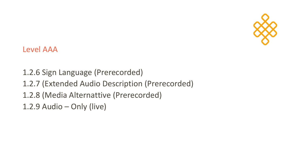

Level AAA

1.2.6 Sign Language (Prerecorded) 1.2.7 (Extended Audio Description (Prerecorded) 1.2.8 (Media Alternattive (Prerecorded) 1.2.9 Audio – Only (live)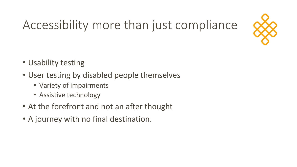# Accessibility more than just compliance



- Usability testing
- User testing by disabled people themselves
	- Variety of impairments
	- Assistive technology
- At the forefront and not an after thought
- A journey with no final destination.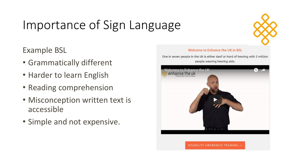# Importance of Sign Language



Example BSL

- Grammatically different
- Harder to learn English
- Reading comprehension
- Misconception written text is accessible
- Simple and not expensive.

#### Welcome to Enhance the UK in BSL

One in seven people in the UK is either deaf or hard of hearing with 2 million people wearing hearing aids.